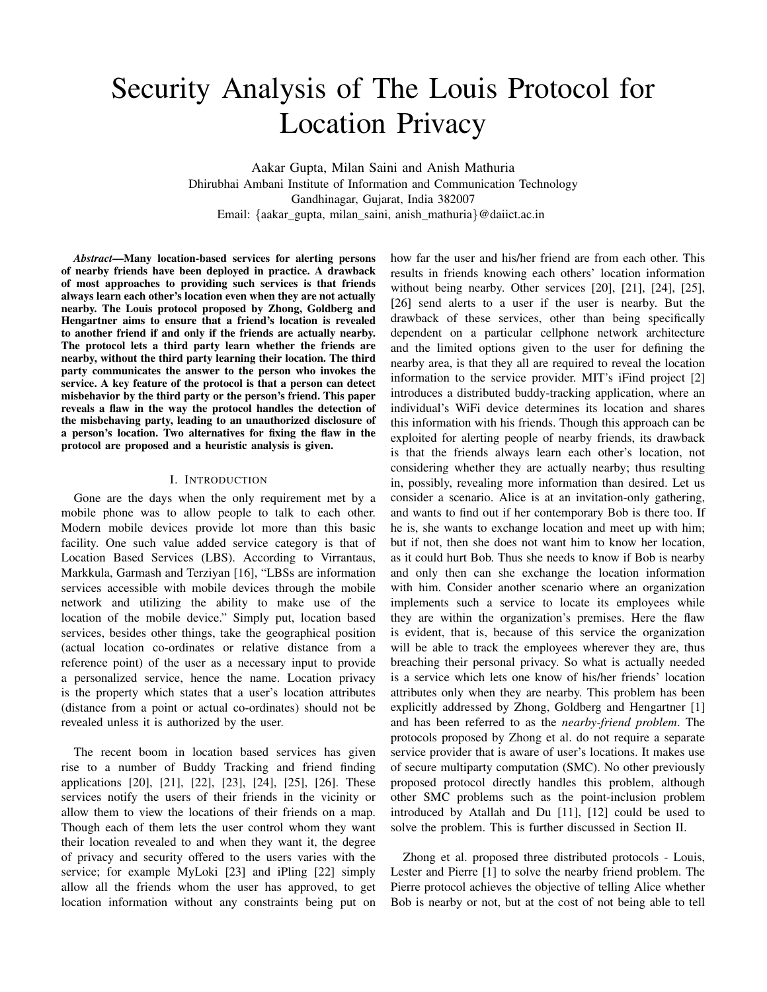# Security Analysis of The Louis Protocol for Location Privacy

Aakar Gupta, Milan Saini and Anish Mathuria Dhirubhai Ambani Institute of Information and Communication Technology Gandhinagar, Gujarat, India 382007 Email: {aakar gupta, milan saini, anish mathuria}@daiict.ac.in

*Abstract*—Many location-based services for alerting persons of nearby friends have been deployed in practice. A drawback of most approaches to providing such services is that friends always learn each other's location even when they are not actually nearby. The Louis protocol proposed by Zhong, Goldberg and Hengartner aims to ensure that a friend's location is revealed to another friend if and only if the friends are actually nearby. The protocol lets a third party learn whether the friends are nearby, without the third party learning their location. The third party communicates the answer to the person who invokes the service. A key feature of the protocol is that a person can detect misbehavior by the third party or the person's friend. This paper reveals a flaw in the way the protocol handles the detection of the misbehaving party, leading to an unauthorized disclosure of a person's location. Two alternatives for fixing the flaw in the protocol are proposed and a heuristic analysis is given.

#### I. INTRODUCTION

Gone are the days when the only requirement met by a mobile phone was to allow people to talk to each other. Modern mobile devices provide lot more than this basic facility. One such value added service category is that of Location Based Services (LBS). According to Virrantaus, Markkula, Garmash and Terziyan [16], "LBSs are information services accessible with mobile devices through the mobile network and utilizing the ability to make use of the location of the mobile device." Simply put, location based services, besides other things, take the geographical position (actual location co-ordinates or relative distance from a reference point) of the user as a necessary input to provide a personalized service, hence the name. Location privacy is the property which states that a user's location attributes (distance from a point or actual co-ordinates) should not be revealed unless it is authorized by the user.

The recent boom in location based services has given rise to a number of Buddy Tracking and friend finding applications [20], [21], [22], [23], [24], [25], [26]. These services notify the users of their friends in the vicinity or allow them to view the locations of their friends on a map. Though each of them lets the user control whom they want their location revealed to and when they want it, the degree of privacy and security offered to the users varies with the service; for example MyLoki [23] and iPling [22] simply allow all the friends whom the user has approved, to get location information without any constraints being put on how far the user and his/her friend are from each other. This results in friends knowing each others' location information without being nearby. Other services [20], [21], [24], [25], [26] send alerts to a user if the user is nearby. But the drawback of these services, other than being specifically dependent on a particular cellphone network architecture and the limited options given to the user for defining the nearby area, is that they all are required to reveal the location information to the service provider. MIT's iFind project [2] introduces a distributed buddy-tracking application, where an individual's WiFi device determines its location and shares this information with his friends. Though this approach can be exploited for alerting people of nearby friends, its drawback is that the friends always learn each other's location, not considering whether they are actually nearby; thus resulting in, possibly, revealing more information than desired. Let us consider a scenario. Alice is at an invitation-only gathering, and wants to find out if her contemporary Bob is there too. If he is, she wants to exchange location and meet up with him; but if not, then she does not want him to know her location, as it could hurt Bob. Thus she needs to know if Bob is nearby and only then can she exchange the location information with him. Consider another scenario where an organization implements such a service to locate its employees while they are within the organization's premises. Here the flaw is evident, that is, because of this service the organization will be able to track the employees wherever they are, thus breaching their personal privacy. So what is actually needed is a service which lets one know of his/her friends' location attributes only when they are nearby. This problem has been explicitly addressed by Zhong, Goldberg and Hengartner [1] and has been referred to as the *nearby-friend problem*. The protocols proposed by Zhong et al. do not require a separate service provider that is aware of user's locations. It makes use of secure multiparty computation (SMC). No other previously proposed protocol directly handles this problem, although other SMC problems such as the point-inclusion problem introduced by Atallah and Du [11], [12] could be used to solve the problem. This is further discussed in Section II.

Zhong et al. proposed three distributed protocols - Louis, Lester and Pierre [1] to solve the nearby friend problem. The Pierre protocol achieves the objective of telling Alice whether Bob is nearby or not, but at the cost of not being able to tell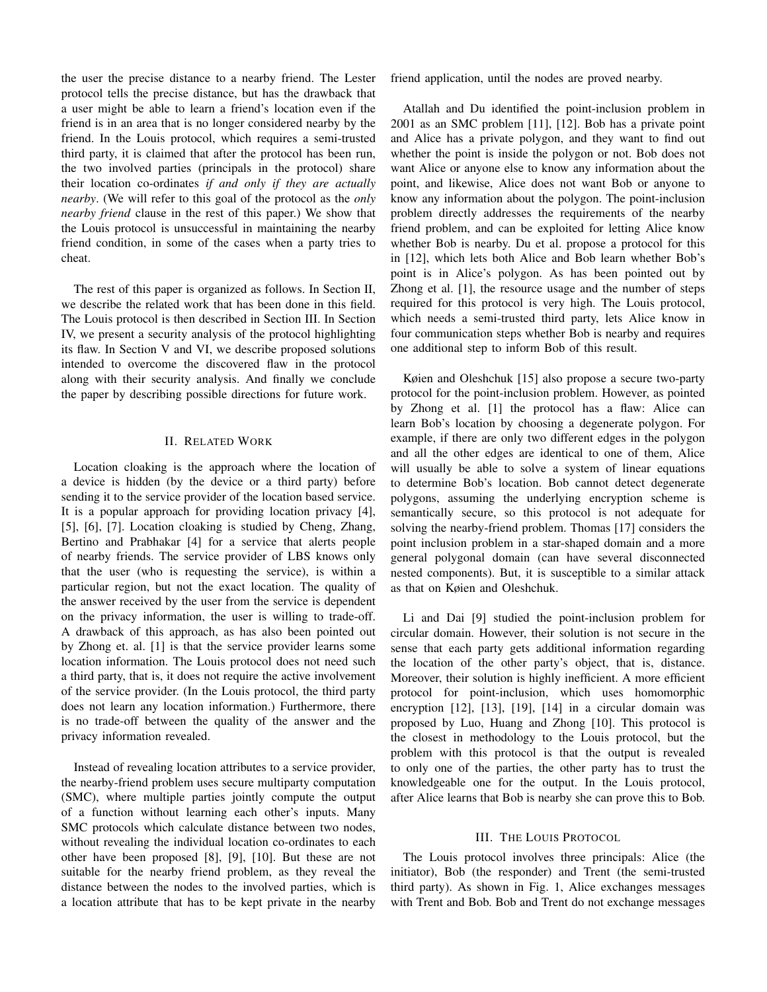the user the precise distance to a nearby friend. The Lester protocol tells the precise distance, but has the drawback that a user might be able to learn a friend's location even if the friend is in an area that is no longer considered nearby by the friend. In the Louis protocol, which requires a semi-trusted third party, it is claimed that after the protocol has been run, the two involved parties (principals in the protocol) share their location co-ordinates *if and only if they are actually nearby*. (We will refer to this goal of the protocol as the *only nearby friend* clause in the rest of this paper.) We show that the Louis protocol is unsuccessful in maintaining the nearby friend condition, in some of the cases when a party tries to cheat.

The rest of this paper is organized as follows. In Section II, we describe the related work that has been done in this field. The Louis protocol is then described in Section III. In Section IV, we present a security analysis of the protocol highlighting its flaw. In Section V and VI, we describe proposed solutions intended to overcome the discovered flaw in the protocol along with their security analysis. And finally we conclude the paper by describing possible directions for future work.

## II. RELATED WORK

Location cloaking is the approach where the location of a device is hidden (by the device or a third party) before sending it to the service provider of the location based service. It is a popular approach for providing location privacy [4], [5], [6], [7]. Location cloaking is studied by Cheng, Zhang, Bertino and Prabhakar [4] for a service that alerts people of nearby friends. The service provider of LBS knows only that the user (who is requesting the service), is within a particular region, but not the exact location. The quality of the answer received by the user from the service is dependent on the privacy information, the user is willing to trade-off. A drawback of this approach, as has also been pointed out by Zhong et. al. [1] is that the service provider learns some location information. The Louis protocol does not need such a third party, that is, it does not require the active involvement of the service provider. (In the Louis protocol, the third party does not learn any location information.) Furthermore, there is no trade-off between the quality of the answer and the privacy information revealed.

Instead of revealing location attributes to a service provider, the nearby-friend problem uses secure multiparty computation (SMC), where multiple parties jointly compute the output of a function without learning each other's inputs. Many SMC protocols which calculate distance between two nodes, without revealing the individual location co-ordinates to each other have been proposed [8], [9], [10]. But these are not suitable for the nearby friend problem, as they reveal the distance between the nodes to the involved parties, which is a location attribute that has to be kept private in the nearby friend application, until the nodes are proved nearby.

Atallah and Du identified the point-inclusion problem in 2001 as an SMC problem [11], [12]. Bob has a private point and Alice has a private polygon, and they want to find out whether the point is inside the polygon or not. Bob does not want Alice or anyone else to know any information about the point, and likewise, Alice does not want Bob or anyone to know any information about the polygon. The point-inclusion problem directly addresses the requirements of the nearby friend problem, and can be exploited for letting Alice know whether Bob is nearby. Du et al. propose a protocol for this in [12], which lets both Alice and Bob learn whether Bob's point is in Alice's polygon. As has been pointed out by Zhong et al. [1], the resource usage and the number of steps required for this protocol is very high. The Louis protocol, which needs a semi-trusted third party, lets Alice know in four communication steps whether Bob is nearby and requires one additional step to inform Bob of this result.

Køien and Oleshchuk [15] also propose a secure two-party protocol for the point-inclusion problem. However, as pointed by Zhong et al. [1] the protocol has a flaw: Alice can learn Bob's location by choosing a degenerate polygon. For example, if there are only two different edges in the polygon and all the other edges are identical to one of them, Alice will usually be able to solve a system of linear equations to determine Bob's location. Bob cannot detect degenerate polygons, assuming the underlying encryption scheme is semantically secure, so this protocol is not adequate for solving the nearby-friend problem. Thomas [17] considers the point inclusion problem in a star-shaped domain and a more general polygonal domain (can have several disconnected nested components). But, it is susceptible to a similar attack as that on Køien and Oleshchuk.

Li and Dai [9] studied the point-inclusion problem for circular domain. However, their solution is not secure in the sense that each party gets additional information regarding the location of the other party's object, that is, distance. Moreover, their solution is highly inefficient. A more efficient protocol for point-inclusion, which uses homomorphic encryption [12], [13], [19], [14] in a circular domain was proposed by Luo, Huang and Zhong [10]. This protocol is the closest in methodology to the Louis protocol, but the problem with this protocol is that the output is revealed to only one of the parties, the other party has to trust the knowledgeable one for the output. In the Louis protocol, after Alice learns that Bob is nearby she can prove this to Bob.

## III. THE LOUIS PROTOCOL

The Louis protocol involves three principals: Alice (the initiator), Bob (the responder) and Trent (the semi-trusted third party). As shown in Fig. 1, Alice exchanges messages with Trent and Bob. Bob and Trent do not exchange messages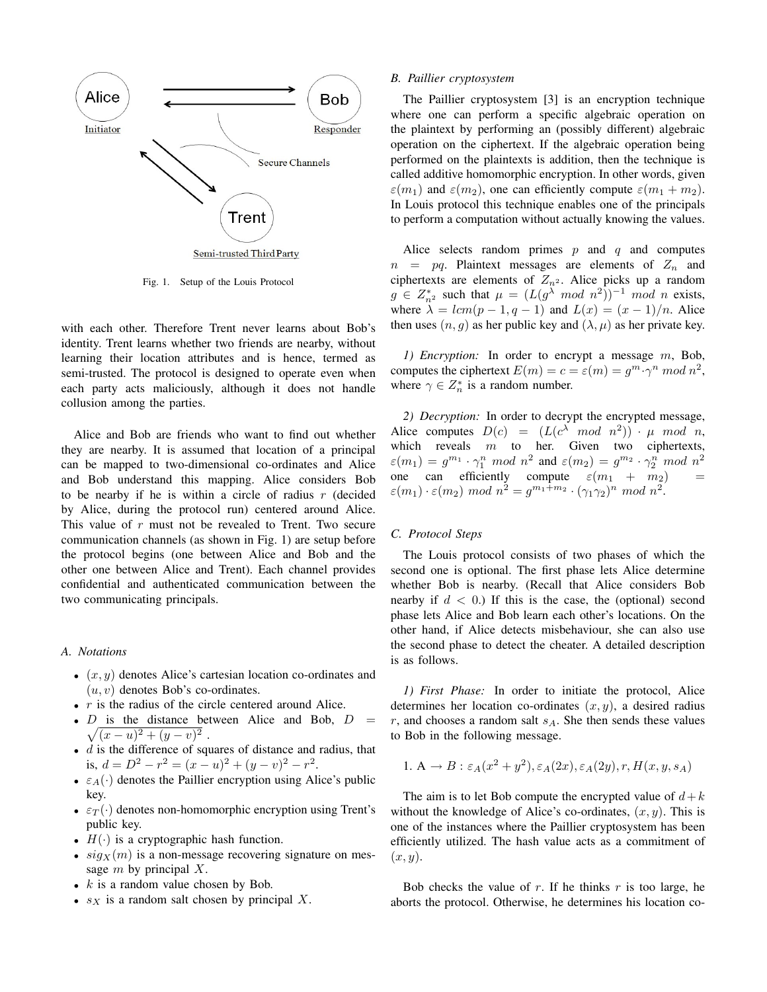

Fig. 1. Setup of the Louis Protocol

with each other. Therefore Trent never learns about Bob's identity. Trent learns whether two friends are nearby, without learning their location attributes and is hence, termed as semi-trusted. The protocol is designed to operate even when each party acts maliciously, although it does not handle collusion among the parties.

Alice and Bob are friends who want to find out whether they are nearby. It is assumed that location of a principal can be mapped to two-dimensional co-ordinates and Alice and Bob understand this mapping. Alice considers Bob to be nearby if he is within a circle of radius  $r$  (decided by Alice, during the protocol run) centered around Alice. This value of r must not be revealed to Trent. Two secure communication channels (as shown in Fig. 1) are setup before the protocol begins (one between Alice and Bob and the other one between Alice and Trent). Each channel provides confidential and authenticated communication between the two communicating principals.

#### *A. Notations*

- $(x, y)$  denotes Alice's cartesian location co-ordinates and  $(u, v)$  denotes Bob's co-ordinates.
- $r$  is the radius of the circle centered around Alice.
- $D$  is the distance between Alice and Bob,  $D =$  $\sqrt{(x-u)^2+(y-v)^2}$ .
- $\bullet$  d is the difference of squares of distance and radius, that is,  $d = D^2 - r^2 = (x - u)^2 + (y - v)^2 - r^2$ .
- $\varepsilon_A(\cdot)$  denotes the Paillier encryption using Alice's public key.
- $\varepsilon_T(\cdot)$  denotes non-homomorphic encryption using Trent's public key.
- $H(\cdot)$  is a cryptographic hash function.
- $sig_X(m)$  is a non-message recovering signature on message  $m$  by principal  $X$ .
- $k$  is a random value chosen by Bob.
- $s_X$  is a random salt chosen by principal X.

### *B. Paillier cryptosystem*

The Paillier cryptosystem [3] is an encryption technique where one can perform a specific algebraic operation on the plaintext by performing an (possibly different) algebraic operation on the ciphertext. If the algebraic operation being performed on the plaintexts is addition, then the technique is called additive homomorphic encryption. In other words, given  $\varepsilon(m_1)$  and  $\varepsilon(m_2)$ , one can efficiently compute  $\varepsilon(m_1 + m_2)$ . In Louis protocol this technique enables one of the principals to perform a computation without actually knowing the values.

Alice selects random primes  $p$  and  $q$  and computes  $n = pq$ . Plaintext messages are elements of  $Z_n$  and ciphertexts are elements of  $Z_{n^2}$ . Alice picks up a random  $g \in Z_{n^2}^*$  such that  $\mu = (L(g^{\lambda} \mod n^2))^{-1} \mod n$  exists, where  $\lambda = lcm(p-1, q-1)$  and  $L(x) = (x - 1)/n$ . Alice then uses  $(n, g)$  as her public key and  $(\lambda, \mu)$  as her private key.

*1) Encryption:* In order to encrypt a message m, Bob, computes the ciphertext  $E(m) = c = \varepsilon(m) = g^m \cdot \gamma^n \mod n^2$ , where  $\gamma \in Z_n^*$  is a random number.

*2) Decryption:* In order to decrypt the encrypted message, Alice computes  $D(c) = (L(c^{\lambda} \mod n^2)) \cdot \mu \mod n$ , which reveals  $m$  to her. Given two ciphertexts,  $\varepsilon(m_1) = g^{m_1} \cdot \gamma_1^n \mod n^2$  and  $\varepsilon(m_2) = g^{m_2} \cdot \gamma_2^n \mod n^2$ one can efficiently compute  $\varepsilon(m_1 + m_2)$  $\varepsilon(m_1) \cdot \varepsilon(m_2) \mod n^2 = g^{m_1+m_2} \cdot (\gamma_1 \gamma_2)^n \mod n^2.$ 

### *C. Protocol Steps*

The Louis protocol consists of two phases of which the second one is optional. The first phase lets Alice determine whether Bob is nearby. (Recall that Alice considers Bob nearby if  $d < 0$ .) If this is the case, the (optional) second phase lets Alice and Bob learn each other's locations. On the other hand, if Alice detects misbehaviour, she can also use the second phase to detect the cheater. A detailed description is as follows.

*1) First Phase:* In order to initiate the protocol, Alice determines her location co-ordinates  $(x, y)$ , a desired radius  $r$ , and chooses a random salt  $s_A$ . She then sends these values to Bob in the following message.

1. 
$$
A \rightarrow B : \varepsilon_A(x^2 + y^2), \varepsilon_A(2x), \varepsilon_A(2y), r, H(x, y, s_A)
$$

The aim is to let Bob compute the encrypted value of  $d+k$ without the knowledge of Alice's co-ordinates,  $(x, y)$ . This is one of the instances where the Paillier cryptosystem has been efficiently utilized. The hash value acts as a commitment of  $(x, y)$ .

Bob checks the value of  $r$ . If he thinks  $r$  is too large, he aborts the protocol. Otherwise, he determines his location co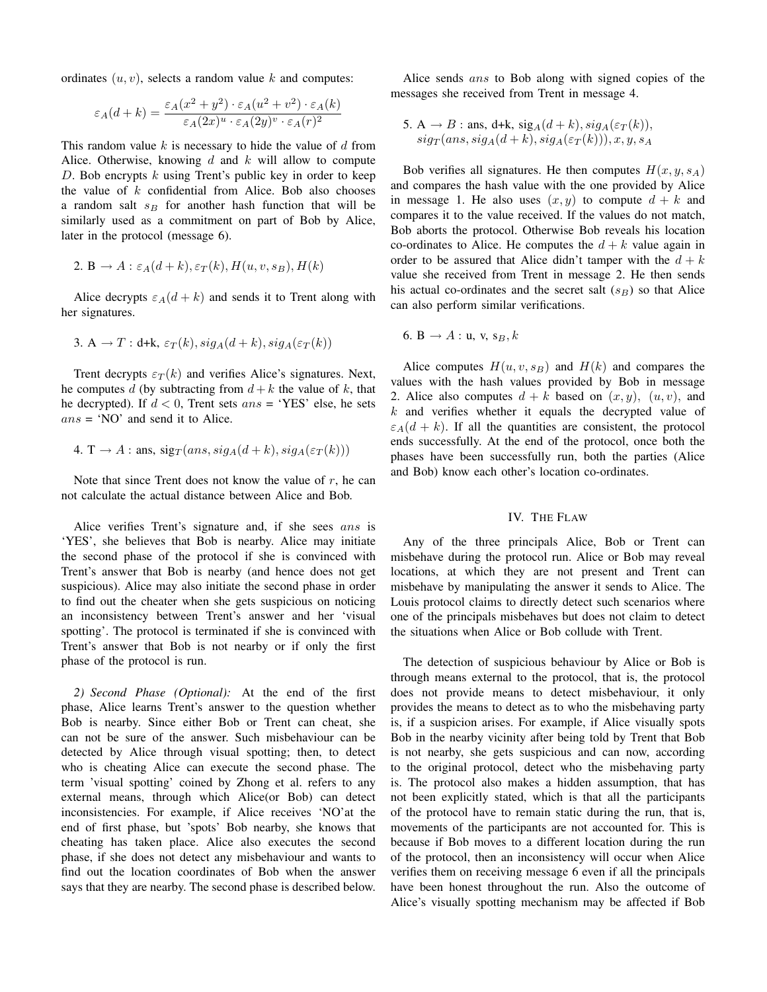ordinates  $(u, v)$ , selects a random value k and computes:

$$
\varepsilon_A(d+k) = \frac{\varepsilon_A(x^2+y^2) \cdot \varepsilon_A(u^2+v^2) \cdot \varepsilon_A(k)}{\varepsilon_A(2x)^u \cdot \varepsilon_A(2y)^v \cdot \varepsilon_A(r)^2}
$$

This random value  $k$  is necessary to hide the value of  $d$  from Alice. Otherwise, knowing d and  $k$  will allow to compute D. Bob encrypts  $k$  using Trent's public key in order to keep the value of  $k$  confidential from Alice. Bob also chooses a random salt  $s_B$  for another hash function that will be similarly used as a commitment on part of Bob by Alice, later in the protocol (message 6).

2. **B** 
$$
\rightarrow
$$
 *A* :  $\varepsilon_A(d+k), \varepsilon_T(k), H(u, v, s_B), H(k)$ 

Alice decrypts  $\varepsilon_A(d+k)$  and sends it to Trent along with her signatures.

3. A 
$$
\rightarrow
$$
 T : d+k,  $\varepsilon_T(k)$ ,  $sig_A(d+k)$ ,  $sig_A(\varepsilon_T(k))$ 

Trent decrypts  $\varepsilon_T(k)$  and verifies Alice's signatures. Next, he computes d (by subtracting from  $d + k$  the value of k, that he decrypted). If  $d < 0$ , Trent sets ans = 'YES' else, he sets  $ans = 'NO'$  and send it to Alice.

4. T 
$$
\rightarrow
$$
 A : ans, sig<sub>T</sub>(ans, sig<sub>A</sub>(d+k), sig<sub>A</sub>( $\varepsilon_T(k)$ ))

Note that since Trent does not know the value of  $r$ , he can not calculate the actual distance between Alice and Bob.

Alice verifies Trent's signature and, if she sees ans is 'YES', she believes that Bob is nearby. Alice may initiate the second phase of the protocol if she is convinced with Trent's answer that Bob is nearby (and hence does not get suspicious). Alice may also initiate the second phase in order to find out the cheater when she gets suspicious on noticing an inconsistency between Trent's answer and her 'visual spotting'. The protocol is terminated if she is convinced with Trent's answer that Bob is not nearby or if only the first phase of the protocol is run.

*2) Second Phase (Optional):* At the end of the first phase, Alice learns Trent's answer to the question whether Bob is nearby. Since either Bob or Trent can cheat, she can not be sure of the answer. Such misbehaviour can be detected by Alice through visual spotting; then, to detect who is cheating Alice can execute the second phase. The term 'visual spotting' coined by Zhong et al. refers to any external means, through which Alice(or Bob) can detect inconsistencies. For example, if Alice receives 'NO'at the end of first phase, but 'spots' Bob nearby, she knows that cheating has taken place. Alice also executes the second phase, if she does not detect any misbehaviour and wants to find out the location coordinates of Bob when the answer says that they are nearby. The second phase is described below.

Alice sends ans to Bob along with signed copies of the messages she received from Trent in message 4.

5. 
$$
A \rightarrow B
$$
: ans, d+k,  $sig_A(d+k)$ ,  $sig_A(\varepsilon_T(k))$ ,  
\n $sig_T(ans, sig_A(d+k), sig_A(\varepsilon_T(k))), x, y, s_A$ 

Bob verifies all signatures. He then computes  $H(x, y, s_A)$ and compares the hash value with the one provided by Alice in message 1. He also uses  $(x, y)$  to compute  $d + k$  and compares it to the value received. If the values do not match, Bob aborts the protocol. Otherwise Bob reveals his location co-ordinates to Alice. He computes the  $d + k$  value again in order to be assured that Alice didn't tamper with the  $d + k$ value she received from Trent in message 2. He then sends his actual co-ordinates and the secret salt  $(s_B)$  so that Alice can also perform similar verifications.

6. 
$$
B \rightarrow A
$$
: u, v, s<sub>B</sub>, k

Alice computes  $H(u, v, s_B)$  and  $H(k)$  and compares the values with the hash values provided by Bob in message 2. Alice also computes  $d + k$  based on  $(x, y)$ ,  $(u, v)$ , and  $k$  and verifies whether it equals the decrypted value of  $\varepsilon_A(d+k)$ . If all the quantities are consistent, the protocol ends successfully. At the end of the protocol, once both the phases have been successfully run, both the parties (Alice and Bob) know each other's location co-ordinates.

## IV. THE FLAW

Any of the three principals Alice, Bob or Trent can misbehave during the protocol run. Alice or Bob may reveal locations, at which they are not present and Trent can misbehave by manipulating the answer it sends to Alice. The Louis protocol claims to directly detect such scenarios where one of the principals misbehaves but does not claim to detect the situations when Alice or Bob collude with Trent.

The detection of suspicious behaviour by Alice or Bob is through means external to the protocol, that is, the protocol does not provide means to detect misbehaviour, it only provides the means to detect as to who the misbehaving party is, if a suspicion arises. For example, if Alice visually spots Bob in the nearby vicinity after being told by Trent that Bob is not nearby, she gets suspicious and can now, according to the original protocol, detect who the misbehaving party is. The protocol also makes a hidden assumption, that has not been explicitly stated, which is that all the participants of the protocol have to remain static during the run, that is, movements of the participants are not accounted for. This is because if Bob moves to a different location during the run of the protocol, then an inconsistency will occur when Alice verifies them on receiving message 6 even if all the principals have been honest throughout the run. Also the outcome of Alice's visually spotting mechanism may be affected if Bob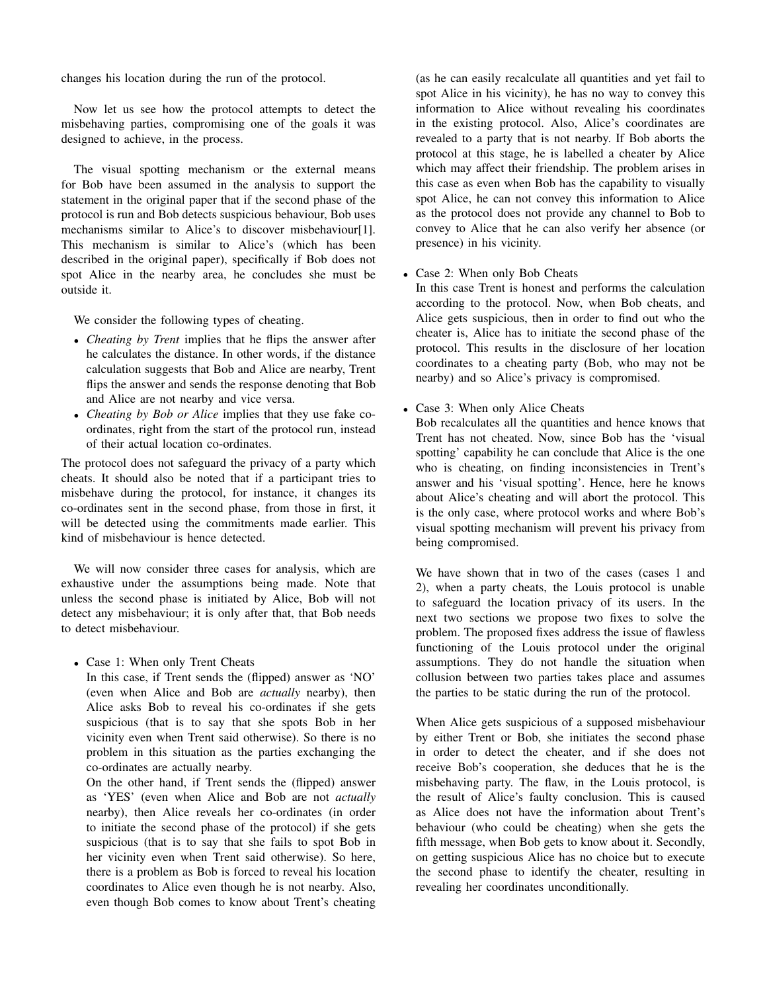changes his location during the run of the protocol.

Now let us see how the protocol attempts to detect the misbehaving parties, compromising one of the goals it was designed to achieve, in the process.

The visual spotting mechanism or the external means for Bob have been assumed in the analysis to support the statement in the original paper that if the second phase of the protocol is run and Bob detects suspicious behaviour, Bob uses mechanisms similar to Alice's to discover misbehaviour[1]. This mechanism is similar to Alice's (which has been described in the original paper), specifically if Bob does not spot Alice in the nearby area, he concludes she must be outside it.

We consider the following types of cheating.

- *Cheating by Trent* implies that he flips the answer after he calculates the distance. In other words, if the distance calculation suggests that Bob and Alice are nearby, Trent flips the answer and sends the response denoting that Bob and Alice are not nearby and vice versa.
- *Cheating by Bob or Alice* implies that they use fake coordinates, right from the start of the protocol run, instead of their actual location co-ordinates.

The protocol does not safeguard the privacy of a party which cheats. It should also be noted that if a participant tries to misbehave during the protocol, for instance, it changes its co-ordinates sent in the second phase, from those in first, it will be detected using the commitments made earlier. This kind of misbehaviour is hence detected.

We will now consider three cases for analysis, which are exhaustive under the assumptions being made. Note that unless the second phase is initiated by Alice, Bob will not detect any misbehaviour; it is only after that, that Bob needs to detect misbehaviour.

• Case 1: When only Trent Cheats

In this case, if Trent sends the (flipped) answer as 'NO' (even when Alice and Bob are *actually* nearby), then Alice asks Bob to reveal his co-ordinates if she gets suspicious (that is to say that she spots Bob in her vicinity even when Trent said otherwise). So there is no problem in this situation as the parties exchanging the co-ordinates are actually nearby.

On the other hand, if Trent sends the (flipped) answer as 'YES' (even when Alice and Bob are not *actually* nearby), then Alice reveals her co-ordinates (in order to initiate the second phase of the protocol) if she gets suspicious (that is to say that she fails to spot Bob in her vicinity even when Trent said otherwise). So here, there is a problem as Bob is forced to reveal his location coordinates to Alice even though he is not nearby. Also, even though Bob comes to know about Trent's cheating

(as he can easily recalculate all quantities and yet fail to spot Alice in his vicinity), he has no way to convey this information to Alice without revealing his coordinates in the existing protocol. Also, Alice's coordinates are revealed to a party that is not nearby. If Bob aborts the protocol at this stage, he is labelled a cheater by Alice which may affect their friendship. The problem arises in this case as even when Bob has the capability to visually spot Alice, he can not convey this information to Alice as the protocol does not provide any channel to Bob to convey to Alice that he can also verify her absence (or presence) in his vicinity.

# • Case 2: When only Bob Cheats

In this case Trent is honest and performs the calculation according to the protocol. Now, when Bob cheats, and Alice gets suspicious, then in order to find out who the cheater is, Alice has to initiate the second phase of the protocol. This results in the disclosure of her location coordinates to a cheating party (Bob, who may not be nearby) and so Alice's privacy is compromised.

# • Case 3: When only Alice Cheats

Bob recalculates all the quantities and hence knows that Trent has not cheated. Now, since Bob has the 'visual spotting' capability he can conclude that Alice is the one who is cheating, on finding inconsistencies in Trent's answer and his 'visual spotting'. Hence, here he knows about Alice's cheating and will abort the protocol. This is the only case, where protocol works and where Bob's visual spotting mechanism will prevent his privacy from being compromised.

We have shown that in two of the cases (cases 1 and 2), when a party cheats, the Louis protocol is unable to safeguard the location privacy of its users. In the next two sections we propose two fixes to solve the problem. The proposed fixes address the issue of flawless functioning of the Louis protocol under the original assumptions. They do not handle the situation when collusion between two parties takes place and assumes the parties to be static during the run of the protocol.

When Alice gets suspicious of a supposed misbehaviour by either Trent or Bob, she initiates the second phase in order to detect the cheater, and if she does not receive Bob's cooperation, she deduces that he is the misbehaving party. The flaw, in the Louis protocol, is the result of Alice's faulty conclusion. This is caused as Alice does not have the information about Trent's behaviour (who could be cheating) when she gets the fifth message, when Bob gets to know about it. Secondly, on getting suspicious Alice has no choice but to execute the second phase to identify the cheater, resulting in revealing her coordinates unconditionally.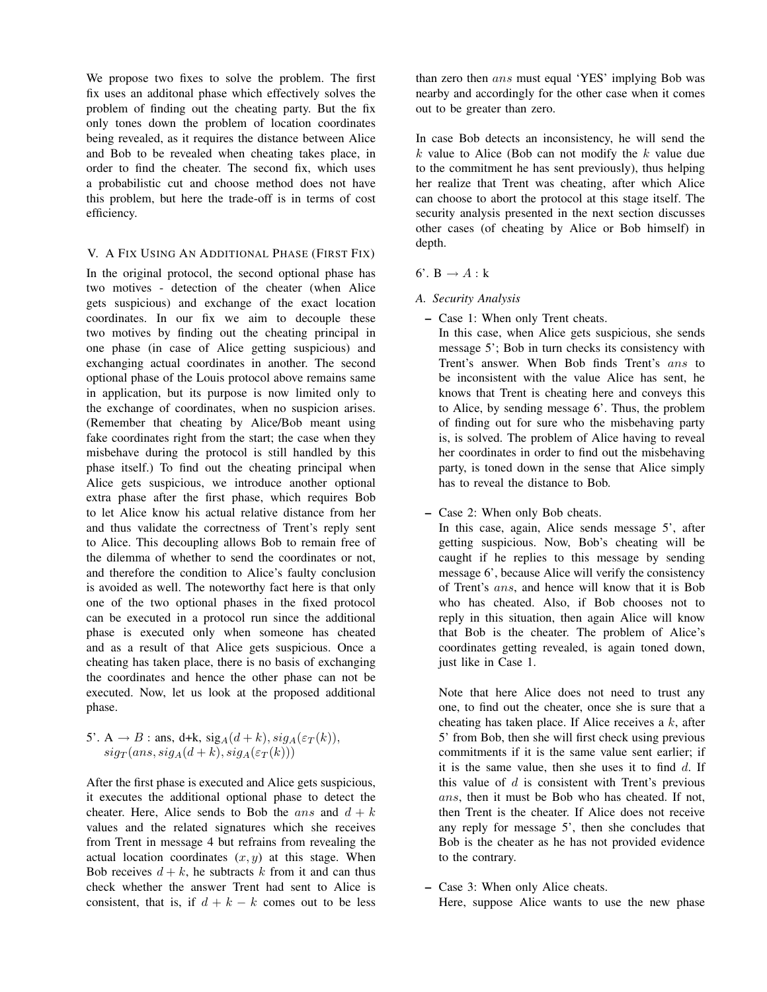We propose two fixes to solve the problem. The first fix uses an additonal phase which effectively solves the problem of finding out the cheating party. But the fix only tones down the problem of location coordinates being revealed, as it requires the distance between Alice and Bob to be revealed when cheating takes place, in order to find the cheater. The second fix, which uses a probabilistic cut and choose method does not have this problem, but here the trade-off is in terms of cost efficiency.

# V. A FIX USING AN ADDITIONAL PHASE (FIRST FIX)

In the original protocol, the second optional phase has two motives - detection of the cheater (when Alice gets suspicious) and exchange of the exact location coordinates. In our fix we aim to decouple these two motives by finding out the cheating principal in one phase (in case of Alice getting suspicious) and exchanging actual coordinates in another. The second optional phase of the Louis protocol above remains same in application, but its purpose is now limited only to the exchange of coordinates, when no suspicion arises. (Remember that cheating by Alice/Bob meant using fake coordinates right from the start; the case when they misbehave during the protocol is still handled by this phase itself.) To find out the cheating principal when Alice gets suspicious, we introduce another optional extra phase after the first phase, which requires Bob to let Alice know his actual relative distance from her and thus validate the correctness of Trent's reply sent to Alice. This decoupling allows Bob to remain free of the dilemma of whether to send the coordinates or not, and therefore the condition to Alice's faulty conclusion is avoided as well. The noteworthy fact here is that only one of the two optional phases in the fixed protocol can be executed in a protocol run since the additional phase is executed only when someone has cheated and as a result of that Alice gets suspicious. Once a cheating has taken place, there is no basis of exchanging the coordinates and hence the other phase can not be executed. Now, let us look at the proposed additional phase.

5'. A  $\rightarrow$  B : ans, d+k, sig<sub>A</sub>(d+k), sig<sub>A</sub>( $\varepsilon_T(k)$ ),  $sig_T (ans, sig_A(d+k), sig_A(\varepsilon_T(k)))$ 

After the first phase is executed and Alice gets suspicious, it executes the additional optional phase to detect the cheater. Here, Alice sends to Bob the *ans* and  $d + k$ values and the related signatures which she receives from Trent in message 4 but refrains from revealing the actual location coordinates  $(x, y)$  at this stage. When Bob receives  $d + k$ , he subtracts k from it and can thus check whether the answer Trent had sent to Alice is consistent, that is, if  $d + k - k$  comes out to be less

than zero then *ans* must equal 'YES' implying Bob was nearby and accordingly for the other case when it comes out to be greater than zero.

In case Bob detects an inconsistency, he will send the  $k$  value to Alice (Bob can not modify the  $k$  value due to the commitment he has sent previously), thus helping her realize that Trent was cheating, after which Alice can choose to abort the protocol at this stage itself. The security analysis presented in the next section discusses other cases (of cheating by Alice or Bob himself) in depth.

# 6'.  $B \rightarrow A : k$

# *A. Security Analysis*

– Case 1: When only Trent cheats.

In this case, when Alice gets suspicious, she sends message 5'; Bob in turn checks its consistency with Trent's answer. When Bob finds Trent's ans to be inconsistent with the value Alice has sent, he knows that Trent is cheating here and conveys this to Alice, by sending message 6'. Thus, the problem of finding out for sure who the misbehaving party is, is solved. The problem of Alice having to reveal her coordinates in order to find out the misbehaving party, is toned down in the sense that Alice simply has to reveal the distance to Bob.

– Case 2: When only Bob cheats.

In this case, again, Alice sends message 5', after getting suspicious. Now, Bob's cheating will be caught if he replies to this message by sending message 6', because Alice will verify the consistency of Trent's ans, and hence will know that it is Bob who has cheated. Also, if Bob chooses not to reply in this situation, then again Alice will know that Bob is the cheater. The problem of Alice's coordinates getting revealed, is again toned down, just like in Case 1.

Note that here Alice does not need to trust any one, to find out the cheater, once she is sure that a cheating has taken place. If Alice receives a  $k$ , after 5' from Bob, then she will first check using previous commitments if it is the same value sent earlier; if it is the same value, then she uses it to find  $d$ . If this value of  $d$  is consistent with Trent's previous ans, then it must be Bob who has cheated. If not, then Trent is the cheater. If Alice does not receive any reply for message 5', then she concludes that Bob is the cheater as he has not provided evidence to the contrary.

– Case 3: When only Alice cheats. Here, suppose Alice wants to use the new phase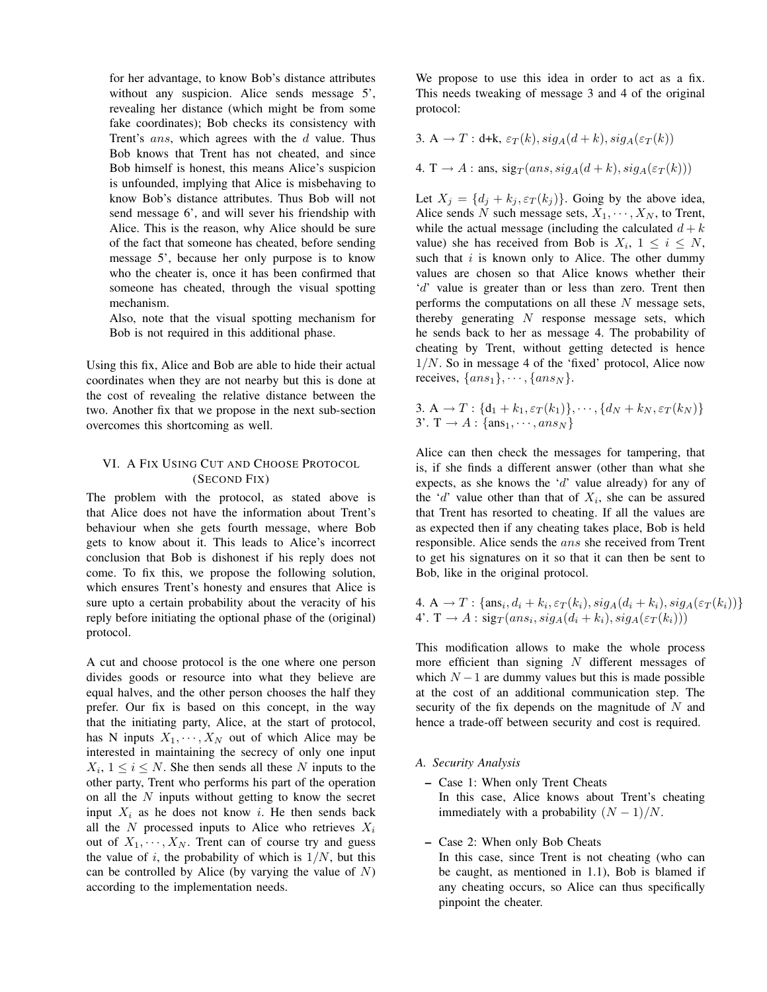for her advantage, to know Bob's distance attributes without any suspicion. Alice sends message 5', revealing her distance (which might be from some fake coordinates); Bob checks its consistency with Trent's *ans*, which agrees with the d value. Thus Bob knows that Trent has not cheated, and since Bob himself is honest, this means Alice's suspicion is unfounded, implying that Alice is misbehaving to know Bob's distance attributes. Thus Bob will not send message 6', and will sever his friendship with Alice. This is the reason, why Alice should be sure of the fact that someone has cheated, before sending message 5', because her only purpose is to know who the cheater is, once it has been confirmed that someone has cheated, through the visual spotting mechanism.

Also, note that the visual spotting mechanism for Bob is not required in this additional phase.

Using this fix, Alice and Bob are able to hide their actual coordinates when they are not nearby but this is done at the cost of revealing the relative distance between the two. Another fix that we propose in the next sub-section overcomes this shortcoming as well.

# VI. A FIX USING CUT AND CHOOSE PROTOCOL (SECOND FIX)

The problem with the protocol, as stated above is that Alice does not have the information about Trent's behaviour when she gets fourth message, where Bob gets to know about it. This leads to Alice's incorrect conclusion that Bob is dishonest if his reply does not come. To fix this, we propose the following solution, which ensures Trent's honesty and ensures that Alice is sure upto a certain probability about the veracity of his reply before initiating the optional phase of the (original) protocol.

A cut and choose protocol is the one where one person divides goods or resource into what they believe are equal halves, and the other person chooses the half they prefer. Our fix is based on this concept, in the way that the initiating party, Alice, at the start of protocol, has N inputs  $X_1, \dots, X_N$  out of which Alice may be interested in maintaining the secrecy of only one input  $X_i$ ,  $1 \leq i \leq N$ . She then sends all these N inputs to the other party, Trent who performs his part of the operation on all the  $N$  inputs without getting to know the secret input  $X_i$  as he does not know i. He then sends back all the  $N$  processed inputs to Alice who retrieves  $X_i$ out of  $X_1, \dots, X_N$ . Trent can of course try and guess the value of i, the probability of which is  $1/N$ , but this can be controlled by Alice (by varying the value of  $N$ ) according to the implementation needs.

We propose to use this idea in order to act as a fix. This needs tweaking of message 3 and 4 of the original protocol:

3. A 
$$
\rightarrow
$$
 T : d+k,  $\varepsilon_T(k)$ ,  $sig_A(d+k)$ ,  $sig_A(\varepsilon_T(k))$ 

4. T  $\rightarrow$  A : ans, sig<sub>T</sub>(ans, sig<sub>A</sub>(d+k), sig<sub>A</sub>( $\varepsilon_T(k)$ ))

Let  $X_j = \{d_j + k_j, \varepsilon_T(k_j)\}\)$ . Going by the above idea, Alice sends N such message sets,  $X_1, \dots, X_N$ , to Trent, while the actual message (including the calculated  $d + k$ value) she has received from Bob is  $X_i$ ,  $1 \le i \le N$ , such that  $i$  is known only to Alice. The other dummy values are chosen so that Alice knows whether their 'd' value is greater than or less than zero. Trent then performs the computations on all these  $N$  message sets, thereby generating  $N$  response message sets, which he sends back to her as message 4. The probability of cheating by Trent, without getting detected is hence  $1/N$ . So in message 4 of the 'fixed' protocol, Alice now receives,  $\{ans_1\}, \cdots, \{ans_N\}.$ 

3. A 
$$
\rightarrow
$$
 T: { $d_1 + k_1, \varepsilon_T(k_1)$ },..., { $d_N + k_N, \varepsilon_T(k_N)$ }  
3'. T  $\rightarrow$  A: {ans<sub>1</sub>,...,ans<sub>N</sub>}

Alice can then check the messages for tampering, that is, if she finds a different answer (other than what she expects, as she knows the 'd' value already) for any of the 'd' value other than that of  $X_i$ , she can be assured that Trent has resorted to cheating. If all the values are as expected then if any cheating takes place, Bob is held responsible. Alice sends the ans she received from Trent to get his signatures on it so that it can then be sent to Bob, like in the original protocol.

4. A 
$$
\rightarrow
$$
 T : {ans<sub>i</sub>, d<sub>i</sub> + k<sub>i</sub>,  $\varepsilon_T(k_i)$ ,  $sig_A(d_i + k_i)$ ,  $sig_A(\varepsilon_T(k_i))$ }  
4'. T  $\rightarrow$  A :  $sig_T(ans_i, sig_A(d_i + k_i), sig_A(\varepsilon_T(k_i)))$ 

This modification allows to make the whole process more efficient than signing  $N$  different messages of which  $N - 1$  are dummy values but this is made possible at the cost of an additional communication step. The security of the fix depends on the magnitude of N and hence a trade-off between security and cost is required.

# *A. Security Analysis*

- Case 1: When only Trent Cheats In this case, Alice knows about Trent's cheating immediately with a probability  $(N - 1)/N$ .
- Case 2: When only Bob Cheats

In this case, since Trent is not cheating (who can be caught, as mentioned in 1.1), Bob is blamed if any cheating occurs, so Alice can thus specifically pinpoint the cheater.